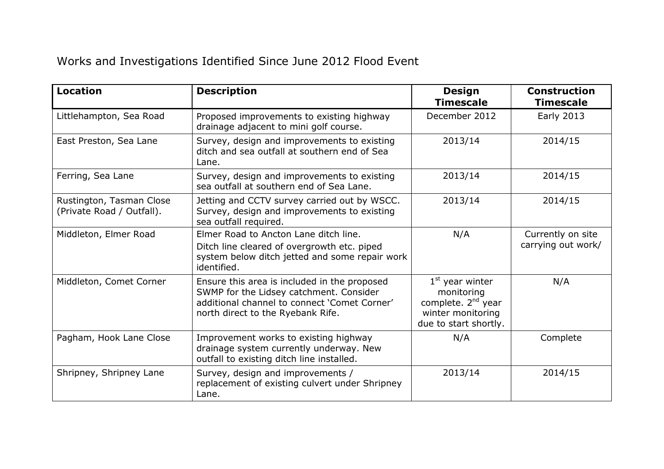## Works and Investigations Identified Since June 2012 Flood Event

| <b>Location</b>                                       | <b>Description</b>                                                                                                                                                           | <b>Design</b><br><b>Timescale</b>                                                                               | <b>Construction</b><br><b>Timescale</b> |
|-------------------------------------------------------|------------------------------------------------------------------------------------------------------------------------------------------------------------------------------|-----------------------------------------------------------------------------------------------------------------|-----------------------------------------|
| Littlehampton, Sea Road                               | Proposed improvements to existing highway<br>drainage adjacent to mini golf course.                                                                                          | December 2012                                                                                                   | <b>Early 2013</b>                       |
| East Preston, Sea Lane                                | Survey, design and improvements to existing<br>ditch and sea outfall at southern end of Sea<br>Lane.                                                                         | 2013/14                                                                                                         | 2014/15                                 |
| Ferring, Sea Lane                                     | Survey, design and improvements to existing<br>sea outfall at southern end of Sea Lane.                                                                                      | 2013/14                                                                                                         | 2014/15                                 |
| Rustington, Tasman Close<br>(Private Road / Outfall). | Jetting and CCTV survey carried out by WSCC.<br>Survey, design and improvements to existing<br>sea outfall required.                                                         | 2013/14                                                                                                         | 2014/15                                 |
| Middleton, Elmer Road                                 | Elmer Road to Ancton Lane ditch line.<br>Ditch line cleared of overgrowth etc. piped<br>system below ditch jetted and some repair work<br>identified.                        | N/A                                                                                                             | Currently on site<br>carrying out work/ |
| Middleton, Comet Corner                               | Ensure this area is included in the proposed<br>SWMP for the Lidsey catchment. Consider<br>additional channel to connect 'Comet Corner'<br>north direct to the Ryebank Rife. | $1st$ year winter<br>monitoring<br>complete. 2 <sup>nd</sup> year<br>winter monitoring<br>due to start shortly. | N/A                                     |
| Pagham, Hook Lane Close                               | Improvement works to existing highway<br>drainage system currently underway. New<br>outfall to existing ditch line installed.                                                | N/A                                                                                                             | Complete                                |
| Shripney, Shripney Lane                               | Survey, design and improvements /<br>replacement of existing culvert under Shripney<br>Lane.                                                                                 | 2013/14                                                                                                         | 2014/15                                 |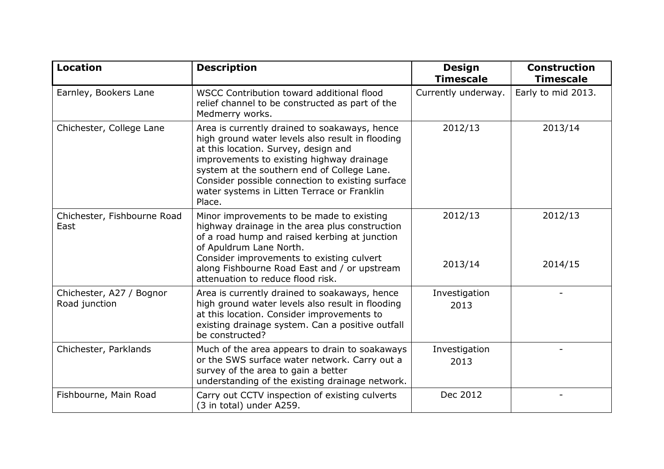| <b>Location</b>                           | <b>Description</b>                                                                                                                                                                                                                                                                                                                                 | <b>Design</b><br><b>Timescale</b> | <b>Construction</b><br><b>Timescale</b> |
|-------------------------------------------|----------------------------------------------------------------------------------------------------------------------------------------------------------------------------------------------------------------------------------------------------------------------------------------------------------------------------------------------------|-----------------------------------|-----------------------------------------|
| Earnley, Bookers Lane                     | WSCC Contribution toward additional flood<br>relief channel to be constructed as part of the<br>Medmerry works.                                                                                                                                                                                                                                    | Currently underway.               | Early to mid 2013.                      |
| Chichester, College Lane                  | Area is currently drained to soakaways, hence<br>high ground water levels also result in flooding<br>at this location. Survey, design and<br>improvements to existing highway drainage<br>system at the southern end of College Lane.<br>Consider possible connection to existing surface<br>water systems in Litten Terrace or Franklin<br>Place. | 2012/13                           | 2013/14                                 |
| Chichester, Fishbourne Road<br>East       | Minor improvements to be made to existing<br>highway drainage in the area plus construction<br>of a road hump and raised kerbing at junction<br>of Apuldrum Lane North.<br>Consider improvements to existing culvert<br>along Fishbourne Road East and / or upstream<br>attenuation to reduce flood risk.                                          | 2012/13<br>2013/14                | 2012/13<br>2014/15                      |
| Chichester, A27 / Bognor<br>Road junction | Area is currently drained to soakaways, hence<br>high ground water levels also result in flooding<br>at this location. Consider improvements to<br>existing drainage system. Can a positive outfall<br>be constructed?                                                                                                                             | Investigation<br>2013             |                                         |
| Chichester, Parklands                     | Much of the area appears to drain to soakaways<br>or the SWS surface water network. Carry out a<br>survey of the area to gain a better<br>understanding of the existing drainage network.                                                                                                                                                          | Investigation<br>2013             |                                         |
| Fishbourne, Main Road                     | Carry out CCTV inspection of existing culverts<br>(3 in total) under A259.                                                                                                                                                                                                                                                                         | Dec 2012                          |                                         |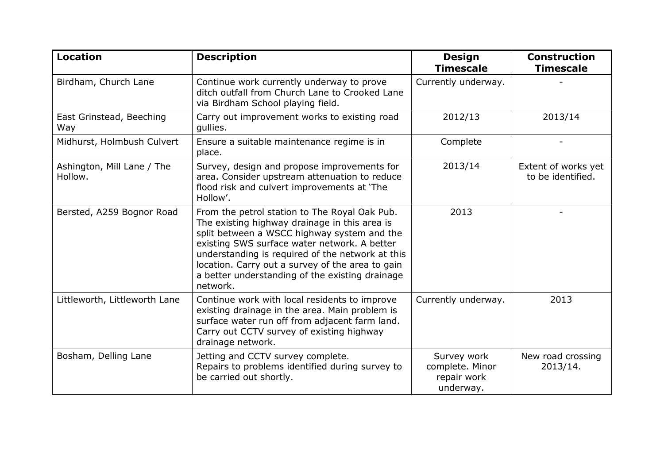| <b>Location</b>                       | <b>Description</b>                                                                                                                                                                                                                                                                                                                                                   | <b>Design</b><br><b>Timescale</b>                          | <b>Construction</b><br><b>Timescale</b>  |
|---------------------------------------|----------------------------------------------------------------------------------------------------------------------------------------------------------------------------------------------------------------------------------------------------------------------------------------------------------------------------------------------------------------------|------------------------------------------------------------|------------------------------------------|
| Birdham, Church Lane                  | Continue work currently underway to prove<br>ditch outfall from Church Lane to Crooked Lane<br>via Birdham School playing field.                                                                                                                                                                                                                                     | Currently underway.                                        |                                          |
| East Grinstead, Beeching<br>Way       | Carry out improvement works to existing road<br>gullies.                                                                                                                                                                                                                                                                                                             | 2012/13                                                    | 2013/14                                  |
| Midhurst, Holmbush Culvert            | Ensure a suitable maintenance regime is in<br>place.                                                                                                                                                                                                                                                                                                                 | Complete                                                   |                                          |
| Ashington, Mill Lane / The<br>Hollow. | Survey, design and propose improvements for<br>area. Consider upstream attenuation to reduce<br>flood risk and culvert improvements at 'The<br>Hollow'.                                                                                                                                                                                                              | 2013/14                                                    | Extent of works yet<br>to be identified. |
| Bersted, A259 Bognor Road             | From the petrol station to The Royal Oak Pub.<br>The existing highway drainage in this area is<br>split between a WSCC highway system and the<br>existing SWS surface water network. A better<br>understanding is required of the network at this<br>location. Carry out a survey of the area to gain<br>a better understanding of the existing drainage<br>network. | 2013                                                       |                                          |
| Littleworth, Littleworth Lane         | Continue work with local residents to improve<br>existing drainage in the area. Main problem is<br>surface water run off from adjacent farm land.<br>Carry out CCTV survey of existing highway<br>drainage network.                                                                                                                                                  | Currently underway.                                        | 2013                                     |
| Bosham, Delling Lane                  | Jetting and CCTV survey complete.<br>Repairs to problems identified during survey to<br>be carried out shortly.                                                                                                                                                                                                                                                      | Survey work<br>complete. Minor<br>repair work<br>underway. | New road crossing<br>2013/14.            |